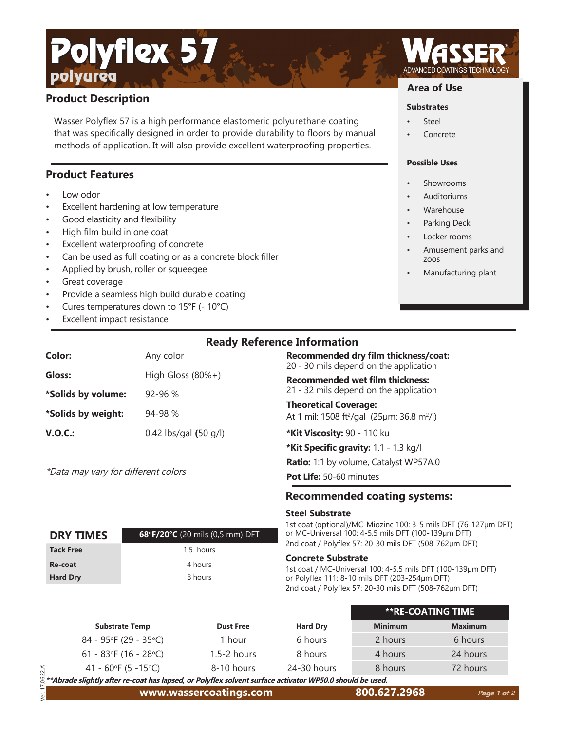# **Product Description**

polyurea

Wasser Polyflex 57 is a high performance elastomeric polyurethane coating that was specifically designed in order to provide durability to floors by manual methods of application. It will also provide excellent waterproofing properties.

## **Product Features**

- Low odor
- Excellent hardening at low temperature

Polyflex 57

- Good elasticity and flexibility
- High film build in one coat
- Excellent waterproofing of concrete
- Can be used as full coating or as a concrete block filler
- Applied by brush, roller or squeegee
- Great coverage
- Provide a seamless high build durable coating
- Cures temperatures down to 15°F (- 10°C)
- **Excellent impact resistance**

**Color:** Any color

\*Data may vary for different colors

| <b>Ready Reference Information</b> |  |  |  |
|------------------------------------|--|--|--|
|------------------------------------|--|--|--|

**Recommended dry film thickness/coat:** 20 - 30 mils depend on the application

**Recommended wet film thickness:** 

21 - 32 mils depend on the application

### **Theoretical Coverage:**

At 1 mil: 1508 ft²/gal (25µm: 36.8 m²/l)

**\*Kit Viscosity:** 90 - 110 ku

\*Kit Specific gravity: 1.1 - 1.3 kg/l

**Ratio:** 1:1 by volume, Catalyst WP57A.0

**Pot Life:** 50-60 minutes

## **Recommended coating systems:**

### **Steel Substrate**

1st coat (optional)/MC-Miozinc 100: 3-5 mils DFT (76-127µm DFT) or MC-Universal 100: 4-5.5 mils DFT (100-139µm DFT) 2nd coat / Polyflex 57: 20-30 mils DFT (508-762µm DFT)

### **Concrete Substrate**

1st coat / MC-Universal 100: 4-5.5 mils DFT (100-139µm DFT) or Polyflex 111: 8-10 mils DFT (203-254µm DFT) 2nd coat / Polyflex 57: 20-30 mils DFT (508-762µm DFT)

|        |                          |                  |                 | <b>**RE-COATING TIME</b> |                |
|--------|--------------------------|------------------|-----------------|--------------------------|----------------|
|        | <b>Substrate Temp</b>    | <b>Dust Free</b> | <b>Hard Dry</b> | <b>Minimum</b>           | <b>Maximum</b> |
|        | $84 - 95$ °F (29 - 35°C) | 1 hour           | 6 hours         | 2 hours                  | 6 hours        |
|        | 61 - 83°F (16 - 28°C)    | $1.5 - 2$ hours  | 8 hours         | 4 hours                  | 24 hours       |
|        | 41 - 60°F (5 - 15°C)     | 8-10 hours       | $24-30$ hours   | 8 hours                  | 72 hours       |
| 1.1.01 |                          | -----            |                 | .                        |                |

 Ver. 17.06.22.A 96 **\*\*Abrade slightly after re-coat has lapsed, or Polyfl ex solvent surface activator WP50.0 should be used.**

**DRY TIMES 68°F/20°C** (20 mils (0,5 mm) DFT Tack Free 1.5 hours **Re-coat** 4 hours Hard Dry 8 hours



## **Area of Use**

### **Substrates**

- **Steel**
- Concrete

### **Possible Uses**

- **Showrooms**
- Auditoriums
- **Warehouse**
- Parking Deck
- Locker rooms
- Amusement parks and zoos
- Manufacturing plant